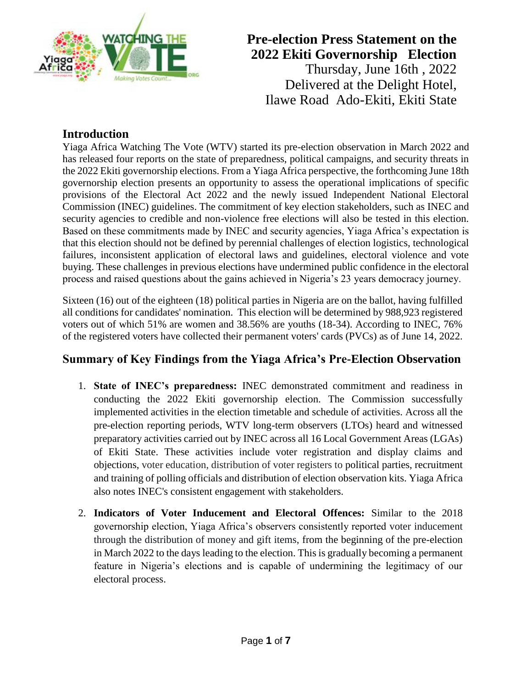

## **Introduction**

Yiaga Africa Watching The Vote (WTV) started its pre-election observation in March 2022 and has released four reports on the state of preparedness, political campaigns, and security threats in the 2022 Ekiti governorship elections. From a Yiaga Africa perspective, the forthcoming June 18th governorship election presents an opportunity to assess the operational implications of specific provisions of the Electoral Act 2022 and the newly issued Independent National Electoral Commission (INEC) guidelines. The commitment of key election stakeholders, such as INEC and security agencies to credible and non-violence free elections will also be tested in this election. Based on these commitments made by INEC and security agencies, Yiaga Africa's expectation is that this election should not be defined by perennial challenges of election logistics, technological failures, inconsistent application of electoral laws and guidelines, electoral violence and vote buying. These challenges in previous elections have undermined public confidence in the electoral process and raised questions about the gains achieved in Nigeria's 23 years democracy journey.

Sixteen (16) out of the eighteen (18) political parties in Nigeria are on the ballot, having fulfilled all conditions for candidates' nomination. This election will be determined by 988,923 registered voters out of which 51% are women and 38.56% are youths (18-34). According to INEC, 76% of the registered voters have collected their permanent voters' cards (PVCs) as of June 14, 2022.

# **Summary of Key Findings from the Yiaga Africa's Pre-Election Observation**

- 1. **State of INEC's preparedness:** INEC demonstrated commitment and readiness in conducting the 2022 Ekiti governorship election. The Commission successfully implemented activities in the election timetable and schedule of activities. Across all the pre-election reporting periods, WTV long-term observers (LTOs) heard and witnessed preparatory activities carried out by INEC across all 16 Local Government Areas (LGAs) of Ekiti State. These activities include voter registration and display claims and objections, voter education, distribution of voter registers to political parties, recruitment and training of polling officials and distribution of election observation kits. Yiaga Africa also notes INEC's consistent engagement with stakeholders.
- 2. **Indicators of Voter Inducement and Electoral Offences:** Similar to the 2018 governorship election, Yiaga Africa's observers consistently reported voter inducement through the distribution of money and gift items, from the beginning of the pre-election in March 2022 to the days leading to the election. This is gradually becoming a permanent feature in Nigeria's elections and is capable of undermining the legitimacy of our electoral process.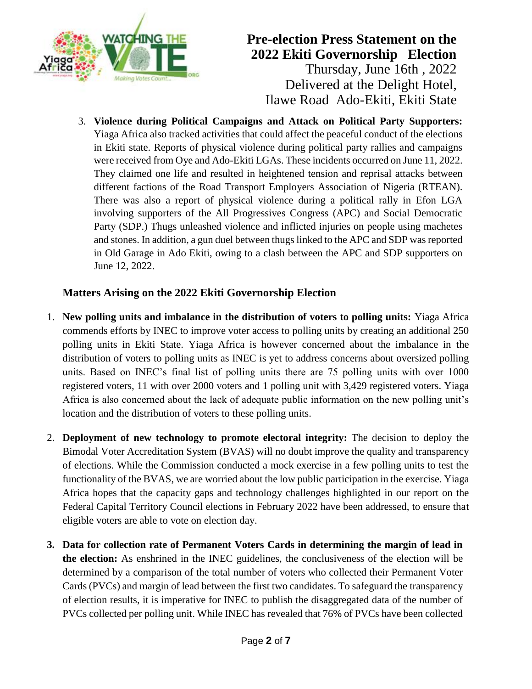

3. **Violence during Political Campaigns and Attack on Political Party Supporters:** Yiaga Africa also tracked activities that could affect the peaceful conduct of the elections in Ekiti state. Reports of physical violence during political party rallies and campaigns were received from Oye and Ado-Ekiti LGAs. These incidents occurred on June 11, 2022. They claimed one life and resulted in heightened tension and reprisal attacks between different factions of the Road Transport Employers Association of Nigeria (RTEAN). There was also a report of physical violence during a political rally in Efon LGA involving supporters of the All Progressives Congress (APC) and Social Democratic Party (SDP.) Thugs unleashed violence and inflicted injuries on people using machetes and stones. In addition, a gun duel between thugs linked to the APC and SDP was reported in Old Garage in Ado Ekiti, owing to a clash between the APC and SDP supporters on June 12, 2022.

## **Matters Arising on the 2022 Ekiti Governorship Election**

- 1. **New polling units and imbalance in the distribution of voters to polling units:** Yiaga Africa commends efforts by INEC to improve voter access to polling units by creating an additional 250 polling units in Ekiti State. Yiaga Africa is however concerned about the imbalance in the distribution of voters to polling units as INEC is yet to address concerns about oversized polling units. Based on INEC's final list of polling units there are 75 polling units with over 1000 registered voters, 11 with over 2000 voters and 1 polling unit with 3,429 registered voters. Yiaga Africa is also concerned about the lack of adequate public information on the new polling unit's location and the distribution of voters to these polling units.
- 2. **Deployment of new technology to promote electoral integrity:** The decision to deploy the Bimodal Voter Accreditation System (BVAS) will no doubt improve the quality and transparency of elections. While the Commission conducted a mock exercise in a few polling units to test the functionality of the BVAS, we are worried about the low public participation in the exercise. Yiaga Africa hopes that the capacity gaps and technology challenges highlighted in our report on the Federal Capital Territory Council elections in February 2022 have been addressed, to ensure that eligible voters are able to vote on election day.
- **3. Data for collection rate of Permanent Voters Cards in determining the margin of lead in the election:** As enshrined in the INEC guidelines, the conclusiveness of the election will be determined by a comparison of the total number of voters who collected their Permanent Voter Cards (PVCs) and margin of lead between the first two candidates. To safeguard the transparency of election results, it is imperative for INEC to publish the disaggregated data of the number of PVCs collected per polling unit. While INEC has revealed that 76% of PVCs have been collected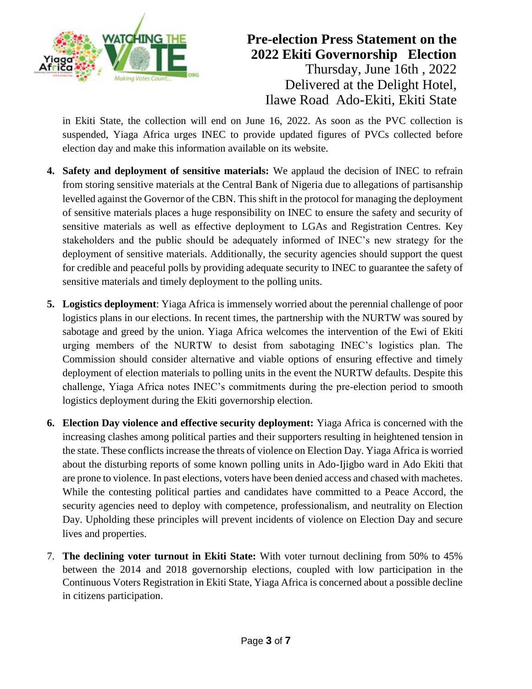

in Ekiti State, the collection will end on June 16, 2022. As soon as the PVC collection is suspended, Yiaga Africa urges INEC to provide updated figures of PVCs collected before election day and make this information available on its website.

- **4. Safety and deployment of sensitive materials:** We applaud the decision of INEC to refrain from storing sensitive materials at the Central Bank of Nigeria due to allegations of partisanship levelled against the Governor of the CBN. This shift in the protocol for managing the deployment of sensitive materials places a huge responsibility on INEC to ensure the safety and security of sensitive materials as well as effective deployment to LGAs and Registration Centres. Key stakeholders and the public should be adequately informed of INEC's new strategy for the deployment of sensitive materials. Additionally, the security agencies should support the quest for credible and peaceful polls by providing adequate security to INEC to guarantee the safety of sensitive materials and timely deployment to the polling units.
- **5. Logistics deployment**: Yiaga Africa is immensely worried about the perennial challenge of poor logistics plans in our elections. In recent times, the partnership with the NURTW was soured by sabotage and greed by the union. Yiaga Africa welcomes the intervention of the Ewi of Ekiti urging members of the NURTW to desist from sabotaging INEC's logistics plan. The Commission should consider alternative and viable options of ensuring effective and timely deployment of election materials to polling units in the event the NURTW defaults. Despite this challenge, Yiaga Africa notes INEC's commitments during the pre-election period to smooth logistics deployment during the Ekiti governorship election.
- **6. Election Day violence and effective security deployment:** Yiaga Africa is concerned with the increasing clashes among political parties and their supporters resulting in heightened tension in the state. These conflicts increase the threats of violence on Election Day. Yiaga Africa is worried about the disturbing reports of some known polling units in Ado-Ijigbo ward in Ado Ekiti that are prone to violence. In past elections, voters have been denied access and chased with machetes. While the contesting political parties and candidates have committed to a Peace Accord, the security agencies need to deploy with competence, professionalism, and neutrality on Election Day. Upholding these principles will prevent incidents of violence on Election Day and secure lives and properties.
- 7. **The declining voter turnout in Ekiti State:** With voter turnout declining from 50% to 45% between the 2014 and 2018 governorship elections, coupled with low participation in the Continuous Voters Registration in Ekiti State, Yiaga Africa is concerned about a possible decline in citizens participation.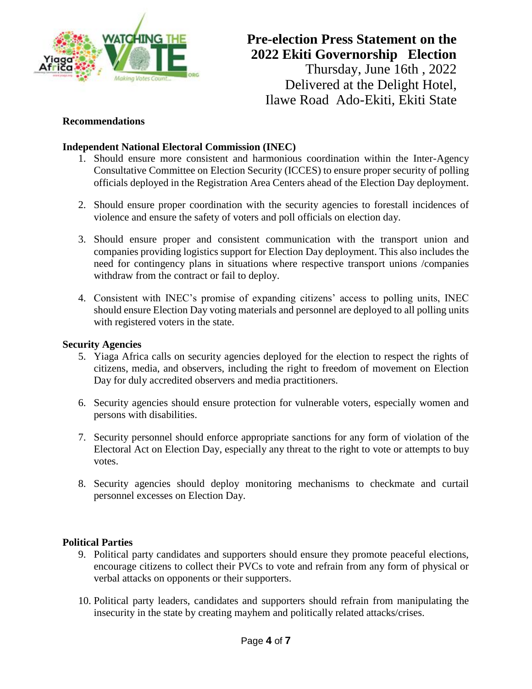

#### **Recommendations**

### **Independent National Electoral Commission (INEC)**

- 1. Should ensure more consistent and harmonious coordination within the Inter-Agency Consultative Committee on Election Security (ICCES) to ensure proper security of polling officials deployed in the Registration Area Centers ahead of the Election Day deployment.
- 2. Should ensure proper coordination with the security agencies to forestall incidences of violence and ensure the safety of voters and poll officials on election day.
- 3. Should ensure proper and consistent communication with the transport union and companies providing logistics support for Election Day deployment. This also includes the need for contingency plans in situations where respective transport unions /companies withdraw from the contract or fail to deploy.
- 4. Consistent with INEC's promise of expanding citizens' access to polling units, INEC should ensure Election Day voting materials and personnel are deployed to all polling units with registered voters in the state.

#### **Security Agencies**

- 5. Yiaga Africa calls on security agencies deployed for the election to respect the rights of citizens, media, and observers, including the right to freedom of movement on Election Day for duly accredited observers and media practitioners.
- 6. Security agencies should ensure protection for vulnerable voters, especially women and persons with disabilities.
- 7. Security personnel should enforce appropriate sanctions for any form of violation of the Electoral Act on Election Day, especially any threat to the right to vote or attempts to buy votes.
- 8. Security agencies should deploy monitoring mechanisms to checkmate and curtail personnel excesses on Election Day.

#### **Political Parties**

- 9. Political party candidates and supporters should ensure they promote peaceful elections, encourage citizens to collect their PVCs to vote and refrain from any form of physical or verbal attacks on opponents or their supporters.
- 10. Political party leaders, candidates and supporters should refrain from manipulating the insecurity in the state by creating mayhem and politically related attacks/crises.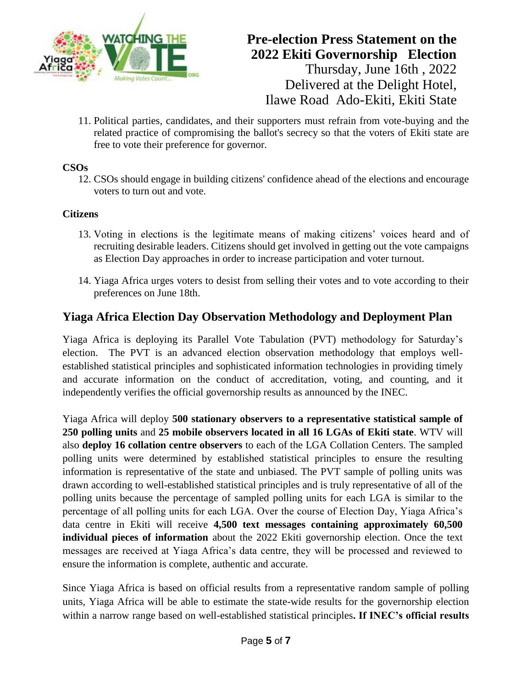

11. Political parties, candidates, and their supporters must refrain from vote-buying and the related practice of compromising the ballot's secrecy so that the voters of Ekiti state are free to vote their preference for governor.

## **CSOs**

12. CSOs should engage in building citizens' confidence ahead of the elections and encourage voters to turn out and vote.

### **Citizens**

- 13. Voting in elections is the legitimate means of making citizens' voices heard and of recruiting desirable leaders. Citizens should get involved in getting out the vote campaigns as Election Day approaches in order to increase participation and voter turnout.
- 14. Yiaga Africa urges voters to desist from selling their votes and to vote according to their preferences on June 18th.

## **Yiaga Africa Election Day Observation Methodology and Deployment Plan**

Yiaga Africa is deploying its Parallel Vote Tabulation (PVT) methodology for Saturday's election. The PVT is an advanced election observation methodology that employs wellestablished statistical principles and sophisticated information technologies in providing timely and accurate information on the conduct of accreditation, voting, and counting, and it independently verifies the official governorship results as announced by the INEC.

Yiaga Africa will deploy **500 stationary observers to a representative statistical sample of 250 polling units** and **25 mobile observers located in all 16 LGAs of Ekiti state**. WTV will also **deploy 16 collation centre observers** to each of the LGA Collation Centers. The sampled polling units were determined by established statistical principles to ensure the resulting information is representative of the state and unbiased. The PVT sample of polling units was drawn according to well-established statistical principles and is truly representative of all of the polling units because the percentage of sampled polling units for each LGA is similar to the percentage of all polling units for each LGA. Over the course of Election Day, Yiaga Africa's data centre in Ekiti will receive **4,500 text messages containing approximately 60,500 individual pieces of information** about the 2022 Ekiti governorship election. Once the text messages are received at Yiaga Africa's data centre, they will be processed and reviewed to ensure the information is complete, authentic and accurate.

Since Yiaga Africa is based on official results from a representative random sample of polling units, Yiaga Africa will be able to estimate the state-wide results for the governorship election within a narrow range based on well-established statistical principles**. If INEC's official results**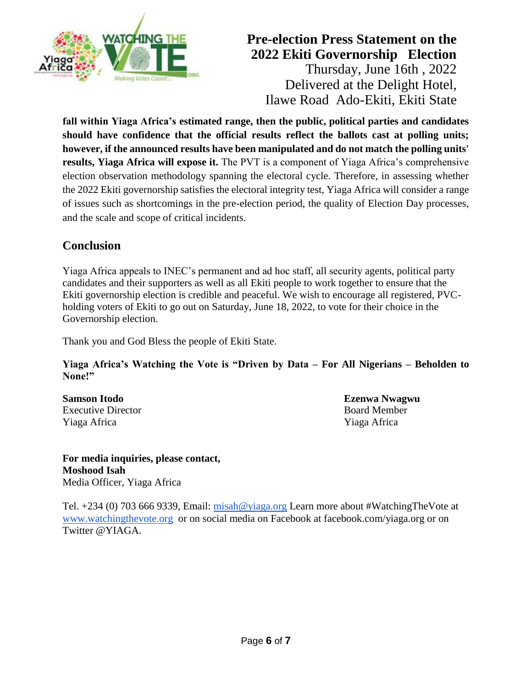

**fall within Yiaga Africa's estimated range, then the public, political parties and candidates should have confidence that the official results reflect the ballots cast at polling units; however, if the announced results have been manipulated and do not match the polling units' results, Yiaga Africa will expose it.** The PVT is a component of Yiaga Africa's comprehensive election observation methodology spanning the electoral cycle. Therefore, in assessing whether the 2022 Ekiti governorship satisfies the electoral integrity test, Yiaga Africa will consider a range of issues such as shortcomings in the pre-election period, the quality of Election Day processes, and the scale and scope of critical incidents.

# **Conclusion**

Yiaga Africa appeals to INEC's permanent and ad hoc staff, all security agents, political party candidates and their supporters as well as all Ekiti people to work together to ensure that the Ekiti governorship election is credible and peaceful. We wish to encourage all registered, PVCholding voters of Ekiti to go out on Saturday, June 18, 2022, to vote for their choice in the Governorship election.

Thank you and God Bless the people of Ekiti State.

**Yiaga Africa's Watching the Vote is "Driven by Data – For All Nigerians – Beholden to None!"** 

**Samson Itodo Ezenwa Nwagwu**  Executive Director **Board Member** Yiaga Africa Yiaga Africa

**For media inquiries, please contact, Moshood Isah** Media Officer, Yiaga Africa

Tel. +234 (0) 703 666 9339, Email: [misah@yiaga.org](mailto:misah@yiaga.org) Learn more about #WatchingTheVote at [www.watchingthevote.org](http://www.watchingthevote.org/) or on social media on Facebook at facebook.com/yiaga.org or on Twitter @YIAGA.